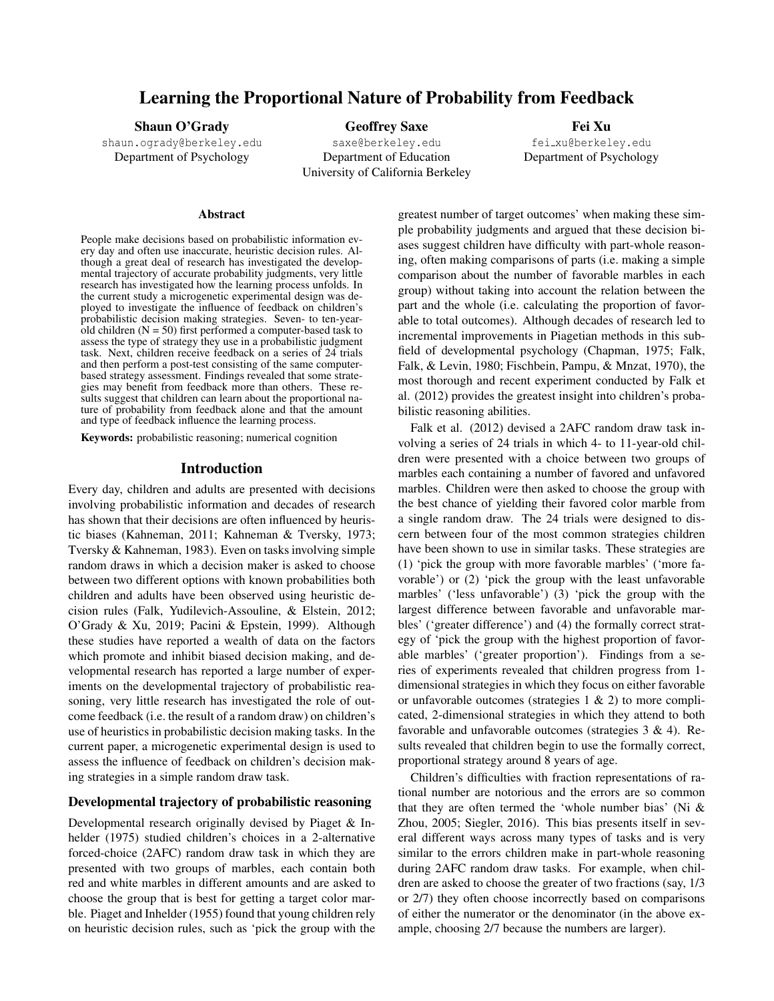# Learning the Proportional Nature of Probability from Feedback

Shaun O'Grady

shaun.ogrady@berkeley.edu Department of Psychology

Geoffrey Saxe saxe@berkeley.edu Department of Education University of California Berkeley

Fei Xu fei xu@berkeley.edu Department of Psychology

#### **Abstract**

People make decisions based on probabilistic information every day and often use inaccurate, heuristic decision rules. Although a great deal of research has investigated the developmental trajectory of accurate probability judgments, very little research has investigated how the learning process unfolds. In the current study a microgenetic experimental design was deployed to investigate the influence of feedback on children's probabilistic decision making strategies. Seven- to ten-yearold children  $(N = 50)$  first performed a computer-based task to assess the type of strategy they use in a probabilistic judgment task. Next, children receive feedback on a series of 24 trials and then perform a post-test consisting of the same computerbased strategy assessment. Findings revealed that some strategies may benefit from feedback more than others. These results suggest that children can learn about the proportional nature of probability from feedback alone and that the amount and type of feedback influence the learning process.

Keywords: probabilistic reasoning; numerical cognition

### Introduction

Every day, children and adults are presented with decisions involving probabilistic information and decades of research has shown that their decisions are often influenced by heuristic biases (Kahneman, 2011; Kahneman & Tversky, 1973; Tversky & Kahneman, 1983). Even on tasks involving simple random draws in which a decision maker is asked to choose between two different options with known probabilities both children and adults have been observed using heuristic decision rules (Falk, Yudilevich-Assouline, & Elstein, 2012; O'Grady & Xu, 2019; Pacini & Epstein, 1999). Although these studies have reported a wealth of data on the factors which promote and inhibit biased decision making, and developmental research has reported a large number of experiments on the developmental trajectory of probabilistic reasoning, very little research has investigated the role of outcome feedback (i.e. the result of a random draw) on children's use of heuristics in probabilistic decision making tasks. In the current paper, a microgenetic experimental design is used to assess the influence of feedback on children's decision making strategies in a simple random draw task.

### Developmental trajectory of probabilistic reasoning

Developmental research originally devised by Piaget & Inhelder (1975) studied children's choices in a 2-alternative forced-choice (2AFC) random draw task in which they are presented with two groups of marbles, each contain both red and white marbles in different amounts and are asked to choose the group that is best for getting a target color marble. Piaget and Inhelder (1955) found that young children rely on heuristic decision rules, such as 'pick the group with the greatest number of target outcomes' when making these simple probability judgments and argued that these decision biases suggest children have difficulty with part-whole reasoning, often making comparisons of parts (i.e. making a simple comparison about the number of favorable marbles in each group) without taking into account the relation between the part and the whole (i.e. calculating the proportion of favorable to total outcomes). Although decades of research led to incremental improvements in Piagetian methods in this subfield of developmental psychology (Chapman, 1975; Falk, Falk, & Levin, 1980; Fischbein, Pampu, & Mnzat, 1970), the most thorough and recent experiment conducted by Falk et al. (2012) provides the greatest insight into children's probabilistic reasoning abilities.

Falk et al. (2012) devised a 2AFC random draw task involving a series of 24 trials in which 4- to 11-year-old children were presented with a choice between two groups of marbles each containing a number of favored and unfavored marbles. Children were then asked to choose the group with the best chance of yielding their favored color marble from a single random draw. The 24 trials were designed to discern between four of the most common strategies children have been shown to use in similar tasks. These strategies are (1) 'pick the group with more favorable marbles' ('more favorable') or (2) 'pick the group with the least unfavorable marbles' ('less unfavorable') (3) 'pick the group with the largest difference between favorable and unfavorable marbles' ('greater difference') and (4) the formally correct strategy of 'pick the group with the highest proportion of favorable marbles' ('greater proportion'). Findings from a series of experiments revealed that children progress from 1 dimensional strategies in which they focus on either favorable or unfavorable outcomes (strategies  $1 \& 2$ ) to more complicated, 2-dimensional strategies in which they attend to both favorable and unfavorable outcomes (strategies 3 & 4). Results revealed that children begin to use the formally correct, proportional strategy around 8 years of age.

Children's difficulties with fraction representations of rational number are notorious and the errors are so common that they are often termed the 'whole number bias' (Ni & Zhou, 2005; Siegler, 2016). This bias presents itself in several different ways across many types of tasks and is very similar to the errors children make in part-whole reasoning during 2AFC random draw tasks. For example, when children are asked to choose the greater of two fractions (say, 1/3 or 2/7) they often choose incorrectly based on comparisons of either the numerator or the denominator (in the above example, choosing 2/7 because the numbers are larger).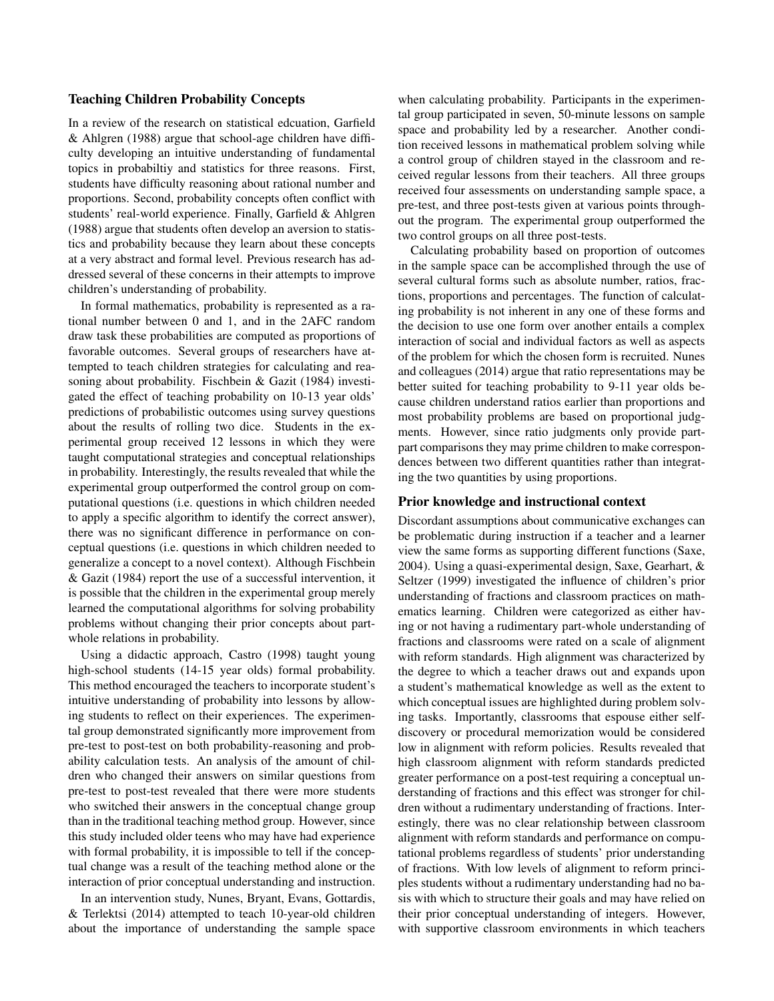#### Teaching Children Probability Concepts

In a review of the research on statistical edcuation, Garfield & Ahlgren (1988) argue that school-age children have difficulty developing an intuitive understanding of fundamental topics in probabiltiy and statistics for three reasons. First, students have difficulty reasoning about rational number and proportions. Second, probability concepts often conflict with students' real-world experience. Finally, Garfield & Ahlgren (1988) argue that students often develop an aversion to statistics and probability because they learn about these concepts at a very abstract and formal level. Previous research has addressed several of these concerns in their attempts to improve children's understanding of probability.

In formal mathematics, probability is represented as a rational number between 0 and 1, and in the 2AFC random draw task these probabilities are computed as proportions of favorable outcomes. Several groups of researchers have attempted to teach children strategies for calculating and reasoning about probability. Fischbein & Gazit (1984) investigated the effect of teaching probability on 10-13 year olds' predictions of probabilistic outcomes using survey questions about the results of rolling two dice. Students in the experimental group received 12 lessons in which they were taught computational strategies and conceptual relationships in probability. Interestingly, the results revealed that while the experimental group outperformed the control group on computational questions (i.e. questions in which children needed to apply a specific algorithm to identify the correct answer), there was no significant difference in performance on conceptual questions (i.e. questions in which children needed to generalize a concept to a novel context). Although Fischbein & Gazit (1984) report the use of a successful intervention, it is possible that the children in the experimental group merely learned the computational algorithms for solving probability problems without changing their prior concepts about partwhole relations in probability.

Using a didactic approach, Castro (1998) taught young high-school students (14-15 year olds) formal probability. This method encouraged the teachers to incorporate student's intuitive understanding of probability into lessons by allowing students to reflect on their experiences. The experimental group demonstrated significantly more improvement from pre-test to post-test on both probability-reasoning and probability calculation tests. An analysis of the amount of children who changed their answers on similar questions from pre-test to post-test revealed that there were more students who switched their answers in the conceptual change group than in the traditional teaching method group. However, since this study included older teens who may have had experience with formal probability, it is impossible to tell if the conceptual change was a result of the teaching method alone or the interaction of prior conceptual understanding and instruction.

In an intervention study, Nunes, Bryant, Evans, Gottardis, & Terlektsi (2014) attempted to teach 10-year-old children about the importance of understanding the sample space when calculating probability. Participants in the experimental group participated in seven, 50-minute lessons on sample space and probability led by a researcher. Another condition received lessons in mathematical problem solving while a control group of children stayed in the classroom and received regular lessons from their teachers. All three groups received four assessments on understanding sample space, a pre-test, and three post-tests given at various points throughout the program. The experimental group outperformed the two control groups on all three post-tests.

Calculating probability based on proportion of outcomes in the sample space can be accomplished through the use of several cultural forms such as absolute number, ratios, fractions, proportions and percentages. The function of calculating probability is not inherent in any one of these forms and the decision to use one form over another entails a complex interaction of social and individual factors as well as aspects of the problem for which the chosen form is recruited. Nunes and colleagues (2014) argue that ratio representations may be better suited for teaching probability to 9-11 year olds because children understand ratios earlier than proportions and most probability problems are based on proportional judgments. However, since ratio judgments only provide partpart comparisons they may prime children to make correspondences between two different quantities rather than integrating the two quantities by using proportions.

## Prior knowledge and instructional context

Discordant assumptions about communicative exchanges can be problematic during instruction if a teacher and a learner view the same forms as supporting different functions (Saxe, 2004). Using a quasi-experimental design, Saxe, Gearhart, & Seltzer (1999) investigated the influence of children's prior understanding of fractions and classroom practices on mathematics learning. Children were categorized as either having or not having a rudimentary part-whole understanding of fractions and classrooms were rated on a scale of alignment with reform standards. High alignment was characterized by the degree to which a teacher draws out and expands upon a student's mathematical knowledge as well as the extent to which conceptual issues are highlighted during problem solving tasks. Importantly, classrooms that espouse either selfdiscovery or procedural memorization would be considered low in alignment with reform policies. Results revealed that high classroom alignment with reform standards predicted greater performance on a post-test requiring a conceptual understanding of fractions and this effect was stronger for children without a rudimentary understanding of fractions. Interestingly, there was no clear relationship between classroom alignment with reform standards and performance on computational problems regardless of students' prior understanding of fractions. With low levels of alignment to reform principles students without a rudimentary understanding had no basis with which to structure their goals and may have relied on their prior conceptual understanding of integers. However, with supportive classroom environments in which teachers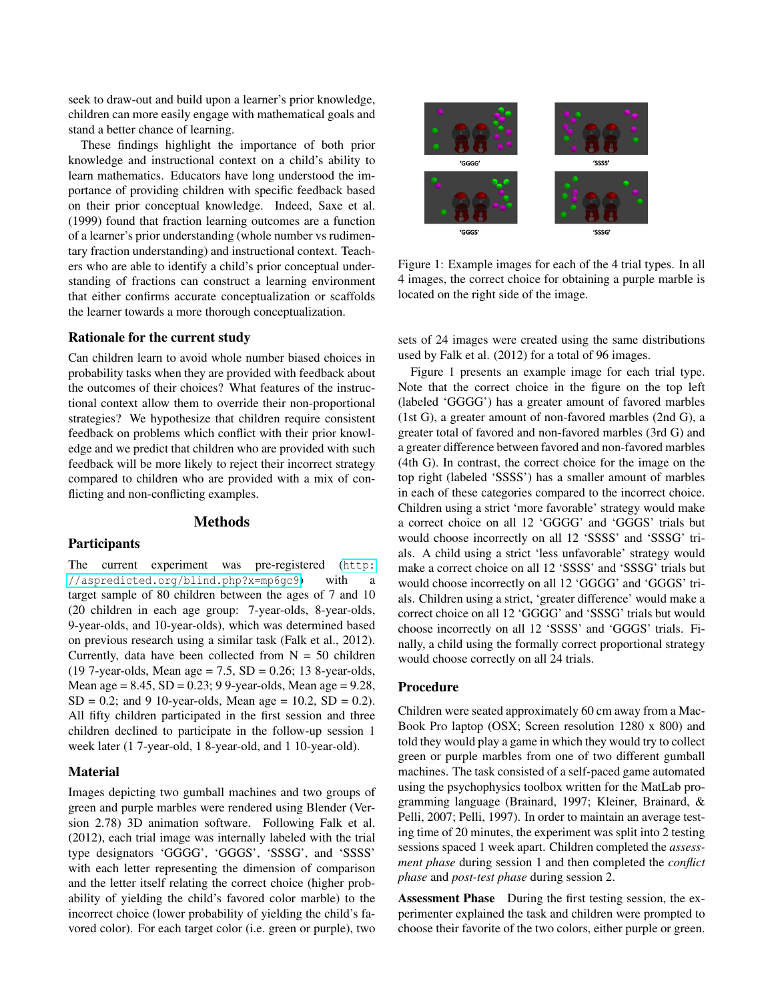seek to draw-out and build upon a learner's prior knowledge, children can more easily engage with mathematical goals and stand a better chance of learning.

These findings highlight the importance of both prior knowledge and instructional context on a child's ability to learn mathematics. Educators have long understood the importance of providing children with specific feedback based on their prior conceptual knowledge. Indeed, Saxe et al. (1999) found that fraction learning outcomes are a function of a learner's prior understanding (whole number vs rudimentary fraction understanding) and instructional context. Teachers who are able to identify a child's prior conceptual understanding of fractions can construct a learning environment that either confirms accurate conceptualization or scaffolds the learner towards a more thorough conceptualization.

#### Rationale for the current study

Can children learn to avoid whole number biased choices in probability tasks when they are provided with feedback about the outcomes of their choices? What features of the instructional context allow them to override their non-proportional strategies? We hypothesize that children require consistent feedback on problems which conflict with their prior knowledge and we predict that children who are provided with such feedback will be more likely to reject their incorrect strategy compared to children who are provided with a mix of conflicting and non-conflicting examples.

## Methods

## Participants

The current experiment was pre-registered ([http:](http://aspredicted.org/blind.php?x=mp6gc9) [//aspredicted.org/blind.php?x=mp6gc9](http://aspredicted.org/blind.php?x=mp6gc9)) with a target sample of 80 children between the ages of 7 and 10 (20 children in each age group: 7-year-olds, 8-year-olds, 9-year-olds, and 10-year-olds), which was determined based on previous research using a similar task (Falk et al., 2012). Currently, data have been collected from  $N = 50$  children (19 7-year-olds, Mean age = 7.5,  $SD = 0.26$ ; 13 8-year-olds, Mean age =  $8.45$ , SD =  $0.23$ ; 9 9-year-olds, Mean age =  $9.28$ ,  $SD = 0.2$ ; and 9 10-year-olds, Mean age = 10.2,  $SD = 0.2$ ). All fifty children participated in the first session and three children declined to participate in the follow-up session 1 week later (1 7-year-old, 1 8-year-old, and 1 10-year-old).

### **Material**

Images depicting two gumball machines and two groups of green and purple marbles were rendered using Blender (Version 2.78) 3D animation software. Following Falk et al. (2012), each trial image was internally labeled with the trial type designators 'GGGG', 'GGGS', 'SSSG', and 'SSSS' with each letter representing the dimension of comparison and the letter itself relating the correct choice (higher probability of yielding the child's favored color marble) to the incorrect choice (lower probability of yielding the child's favored color). For each target color (i.e. green or purple), two



Figure 1: Example images for each of the 4 trial types. In all 4 images, the correct choice for obtaining a purple marble is located on the right side of the image.

sets of 24 images were created using the same distributions used by Falk et al. (2012) for a total of 96 images.

Figure 1 presents an example image for each trial type. Note that the correct choice in the figure on the top left (labeled 'GGGG') has a greater amount of favored marbles (1st G), a greater amount of non-favored marbles (2nd G), a greater total of favored and non-favored marbles (3rd G) and a greater difference between favored and non-favored marbles (4th G). In contrast, the correct choice for the image on the top right (labeled 'SSSS') has a smaller amount of marbles in each of these categories compared to the incorrect choice. Children using a strict 'more favorable' strategy would make a correct choice on all 12 'GGGG' and 'GGGS' trials but would choose incorrectly on all 12 'SSSS' and 'SSSG' trials. A child using a strict 'less unfavorable' strategy would make a correct choice on all 12 'SSSS' and 'SSSG' trials but would choose incorrectly on all 12 'GGGG' and 'GGGS' trials. Children using a strict, 'greater difference' would make a correct choice on all 12 'GGGG' and 'SSSG' trials but would choose incorrectly on all 12 'SSSS' and 'GGGS' trials. Finally, a child using the formally correct proportional strategy would choose correctly on all 24 trials.

#### Procedure

Children were seated approximately 60 cm away from a Mac-Book Pro laptop (OSX; Screen resolution 1280 x 800) and told they would play a game in which they would try to collect green or purple marbles from one of two different gumball machines. The task consisted of a self-paced game automated using the psychophysics toolbox written for the MatLab programming language (Brainard, 1997; Kleiner, Brainard, & Pelli, 2007; Pelli, 1997). In order to maintain an average testing time of 20 minutes, the experiment was split into 2 testing sessions spaced 1 week apart. Children completed the *assessment phase* during session 1 and then completed the *conflict phase* and *post-test phase* during session 2.

Assessment Phase During the first testing session, the experimenter explained the task and children were prompted to choose their favorite of the two colors, either purple or green.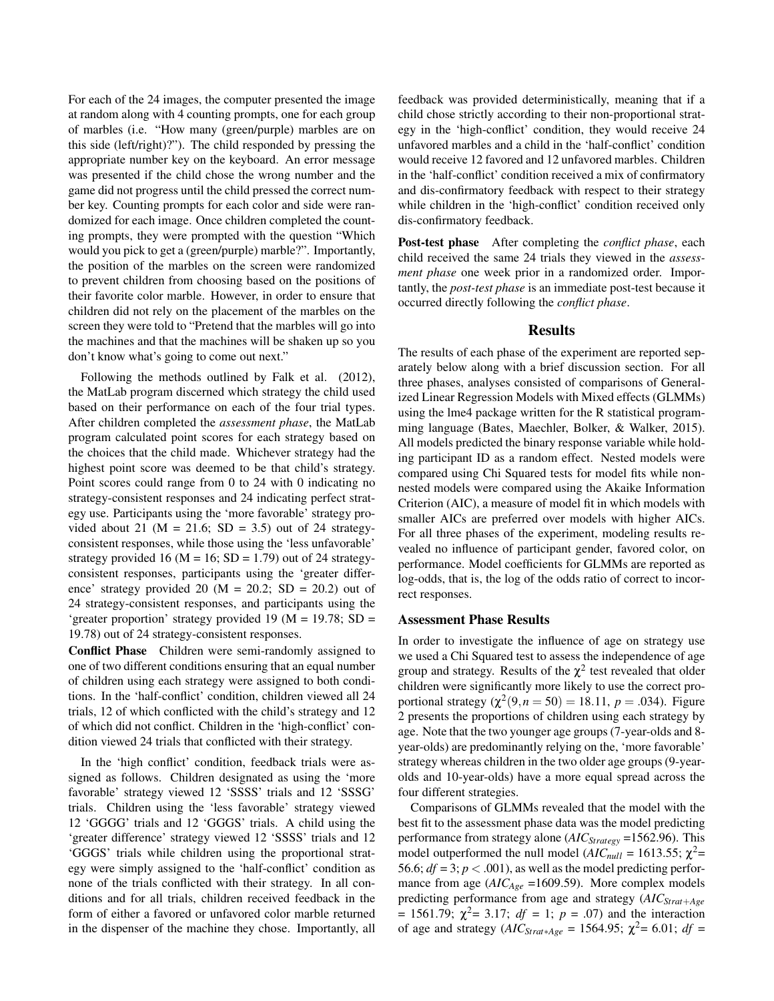For each of the 24 images, the computer presented the image at random along with 4 counting prompts, one for each group of marbles (i.e. "How many (green/purple) marbles are on this side (left/right)?"). The child responded by pressing the appropriate number key on the keyboard. An error message was presented if the child chose the wrong number and the game did not progress until the child pressed the correct number key. Counting prompts for each color and side were randomized for each image. Once children completed the counting prompts, they were prompted with the question "Which would you pick to get a (green/purple) marble?". Importantly, the position of the marbles on the screen were randomized to prevent children from choosing based on the positions of their favorite color marble. However, in order to ensure that children did not rely on the placement of the marbles on the screen they were told to "Pretend that the marbles will go into the machines and that the machines will be shaken up so you don't know what's going to come out next."

Following the methods outlined by Falk et al. (2012), the MatLab program discerned which strategy the child used based on their performance on each of the four trial types. After children completed the *assessment phase*, the MatLab program calculated point scores for each strategy based on the choices that the child made. Whichever strategy had the highest point score was deemed to be that child's strategy. Point scores could range from 0 to 24 with 0 indicating no strategy-consistent responses and 24 indicating perfect strategy use. Participants using the 'more favorable' strategy provided about 21 ( $M = 21.6$ ; SD = 3.5) out of 24 strategyconsistent responses, while those using the 'less unfavorable' strategy provided 16 ( $M = 16$ ; SD = 1.79) out of 24 strategyconsistent responses, participants using the 'greater difference' strategy provided 20 ( $M = 20.2$ ; SD = 20.2) out of 24 strategy-consistent responses, and participants using the 'greater proportion' strategy provided 19 (M = 19.78; SD = 19.78) out of 24 strategy-consistent responses.

Conflict Phase Children were semi-randomly assigned to one of two different conditions ensuring that an equal number of children using each strategy were assigned to both conditions. In the 'half-conflict' condition, children viewed all 24 trials, 12 of which conflicted with the child's strategy and 12 of which did not conflict. Children in the 'high-conflict' condition viewed 24 trials that conflicted with their strategy.

In the 'high conflict' condition, feedback trials were assigned as follows. Children designated as using the 'more favorable' strategy viewed 12 'SSSS' trials and 12 'SSSG' trials. Children using the 'less favorable' strategy viewed 12 'GGGG' trials and 12 'GGGS' trials. A child using the 'greater difference' strategy viewed 12 'SSSS' trials and 12 'GGGS' trials while children using the proportional strategy were simply assigned to the 'half-conflict' condition as none of the trials conflicted with their strategy. In all conditions and for all trials, children received feedback in the form of either a favored or unfavored color marble returned in the dispenser of the machine they chose. Importantly, all feedback was provided deterministically, meaning that if a child chose strictly according to their non-proportional strategy in the 'high-conflict' condition, they would receive 24 unfavored marbles and a child in the 'half-conflict' condition would receive 12 favored and 12 unfavored marbles. Children in the 'half-conflict' condition received a mix of confirmatory and dis-confirmatory feedback with respect to their strategy while children in the 'high-conflict' condition received only dis-confirmatory feedback.

Post-test phase After completing the *conflict phase*, each child received the same 24 trials they viewed in the *assessment phase* one week prior in a randomized order. Importantly, the *post-test phase* is an immediate post-test because it occurred directly following the *conflict phase*.

#### Results

The results of each phase of the experiment are reported separately below along with a brief discussion section. For all three phases, analyses consisted of comparisons of Generalized Linear Regression Models with Mixed effects (GLMMs) using the lme4 package written for the R statistical programming language (Bates, Maechler, Bolker, & Walker, 2015). All models predicted the binary response variable while holding participant ID as a random effect. Nested models were compared using Chi Squared tests for model fits while nonnested models were compared using the Akaike Information Criterion (AIC), a measure of model fit in which models with smaller AICs are preferred over models with higher AICs. For all three phases of the experiment, modeling results revealed no influence of participant gender, favored color, on performance. Model coefficients for GLMMs are reported as log-odds, that is, the log of the odds ratio of correct to incorrect responses.

#### Assessment Phase Results

In order to investigate the influence of age on strategy use we used a Chi Squared test to assess the independence of age group and strategy. Results of the  $\chi^2$  test revealed that older children were significantly more likely to use the correct proportional strategy  $(\chi^2(9, n = 50) = 18.11, p = .034)$ . Figure 2 presents the proportions of children using each strategy by age. Note that the two younger age groups (7-year-olds and 8 year-olds) are predominantly relying on the, 'more favorable' strategy whereas children in the two older age groups (9-yearolds and 10-year-olds) have a more equal spread across the four different strategies.

Comparisons of GLMMs revealed that the model with the best fit to the assessment phase data was the model predicting performance from strategy alone (*AICStrategy* =1562.96). This model outperformed the null model ( $AIC_{null} = 1613.55$ ;  $\chi^2$ = 56.6;  $df = 3$ ;  $p < .001$ ), as well as the model predicting performance from age (*AIC<sub>Age</sub>* =1609.59). More complex models predicting performance from age and strategy (*AICStrat*+*Age* = 1561.79;  $\chi^2$  = 3.17;  $df = 1$ ;  $p = .07$ ) and the interaction of age and strategy (*AIC*<sub>*Strat*∗*Age* = 1564.95;  $\chi^2$  = 6.01; *df* =</sub>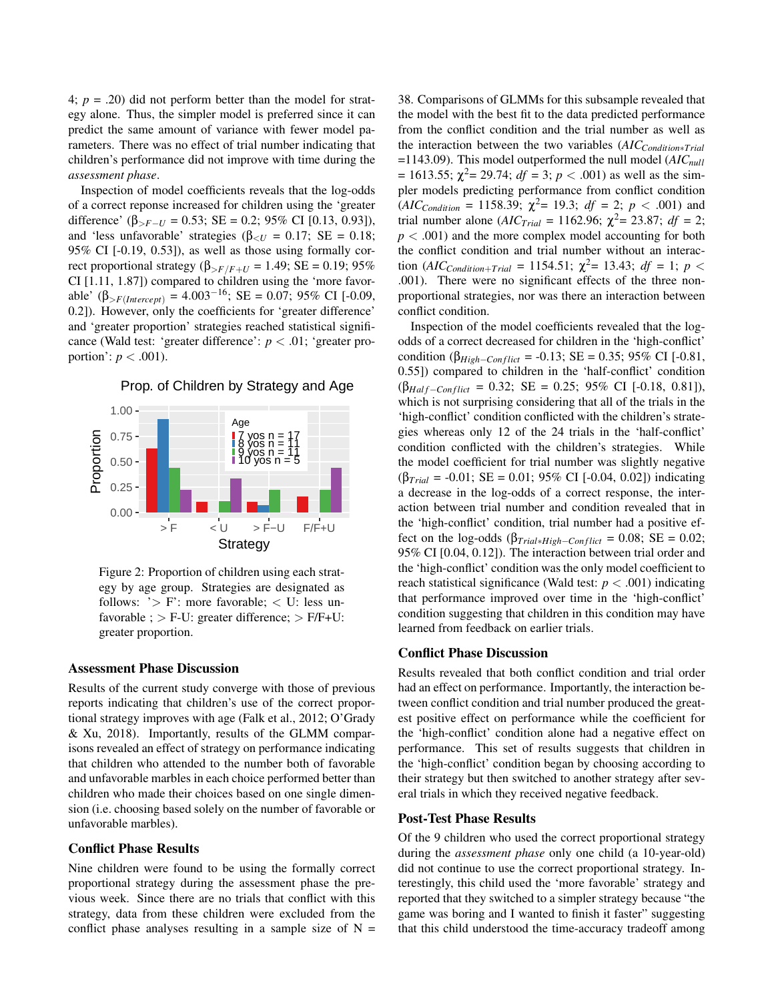4; *p* = .20) did not perform better than the model for strategy alone. Thus, the simpler model is preferred since it can predict the same amount of variance with fewer model parameters. There was no effect of trial number indicating that children's performance did not improve with time during the *assessment phase*.

Inspection of model coefficients reveals that the log-odds of a correct reponse increased for children using the 'greater difference' ( $\beta_{\geq F-U} = 0.53$ ; SE = 0.2; 95% CI [0.13, 0.93]), and 'less unfavorable' strategies ( $\beta_{\leq U} = 0.17$ ; SE = 0.18; 95% CI [-0.19, 0.53]), as well as those using formally correct proportional strategy ( $β_{\geq F/F+U} = 1.49$ ; SE = 0.19; 95% CI [1.11, 1.87]) compared to children using the 'more favorable' ( $\beta_{\geq F(Intercept)}$  = 4.003<sup>-16</sup>; SE = 0.07; 95% CI [-0.09, 0.2]). However, only the coefficients for 'greater difference' and 'greater proportion' strategies reached statistical significance (Wald test: 'greater difference': *p* < .01; 'greater proportion':  $p < .001$ ).



Prop. of Children by Strategy and Age

Figure 2: Proportion of children using each strategy by age group. Strategies are designated as follows:  $\geq$  F: more favorable;  $\lt$  U: less unfavorable ;  $>$  F-U: greater difference;  $>$  F/F+U: greater proportion.

#### Assessment Phase Discussion

Results of the current study converge with those of previous reports indicating that children's use of the correct proportional strategy improves with age (Falk et al., 2012; O'Grady & Xu, 2018). Importantly, results of the GLMM comparisons revealed an effect of strategy on performance indicating that children who attended to the number both of favorable and unfavorable marbles in each choice performed better than children who made their choices based on one single dimension (i.e. choosing based solely on the number of favorable or unfavorable marbles).

## Conflict Phase Results

Nine children were found to be using the formally correct proportional strategy during the assessment phase the previous week. Since there are no trials that conflict with this strategy, data from these children were excluded from the conflict phase analyses resulting in a sample size of  $N =$  38. Comparisons of GLMMs for this subsample revealed that the model with the best fit to the data predicted performance from the conflict condition and the trial number as well as the interaction between the two variables (*AICCondition*∗*Trial* =1143.09). This model outperformed the null model (*AICnull*  $= 1613.55$ ;  $\chi^2 = 29.74$ ;  $df = 3$ ;  $p < .001$ ) as well as the simpler models predicting performance from conflict condition  $(AIC_{Condition} = 1158.39; \ \chi^2 = 19.3; \ df = 2; \ p < .001)$  and trial number alone ( $AIC_{Trial} = 1162.96$ ;  $\chi^2 = 23.87$ ;  $df = 2$ ; *p* < .001) and the more complex model accounting for both the conflict condition and trial number without an interaction (*AIC*<sub>Condition+Trial</sub> = 1154.51;  $\chi^2$  = 13.43; *df* = 1; *p* < .001). There were no significant effects of the three nonproportional strategies, nor was there an interaction between conflict condition.

Inspection of the model coefficients revealed that the logodds of a correct decreased for children in the 'high-conflict' condition ( $\beta_{High-Conflict}$  = -0.13; SE = 0.35; 95% CI [-0.81, 0.55]) compared to children in the 'half-conflict' condition  $(\beta_{Half-Conflict} = 0.32; SE = 0.25; 95\% \text{ CI} [-0.18, 0.81]),$ which is not surprising considering that all of the trials in the 'high-conflict' condition conflicted with the children's strategies whereas only 12 of the 24 trials in the 'half-conflict' condition conflicted with the children's strategies. While the model coefficient for trial number was slightly negative (β*Trial* = -0.01; SE = 0.01; 95% CI [-0.04, 0.02]) indicating a decrease in the log-odds of a correct response, the interaction between trial number and condition revealed that in the 'high-conflict' condition, trial number had a positive effect on the log-odds ( $\beta_{Trial*High-Conflict} = 0.08$ ; SE = 0.02; 95% CI [0.04, 0.12]). The interaction between trial order and the 'high-conflict' condition was the only model coefficient to reach statistical significance (Wald test:  $p < .001$ ) indicating that performance improved over time in the 'high-conflict' condition suggesting that children in this condition may have learned from feedback on earlier trials.

## Conflict Phase Discussion

Results revealed that both conflict condition and trial order had an effect on performance. Importantly, the interaction between conflict condition and trial number produced the greatest positive effect on performance while the coefficient for the 'high-conflict' condition alone had a negative effect on performance. This set of results suggests that children in the 'high-conflict' condition began by choosing according to their strategy but then switched to another strategy after several trials in which they received negative feedback.

#### Post-Test Phase Results

Of the 9 children who used the correct proportional strategy during the *assessment phase* only one child (a 10-year-old) did not continue to use the correct proportional strategy. Interestingly, this child used the 'more favorable' strategy and reported that they switched to a simpler strategy because "the game was boring and I wanted to finish it faster" suggesting that this child understood the time-accuracy tradeoff among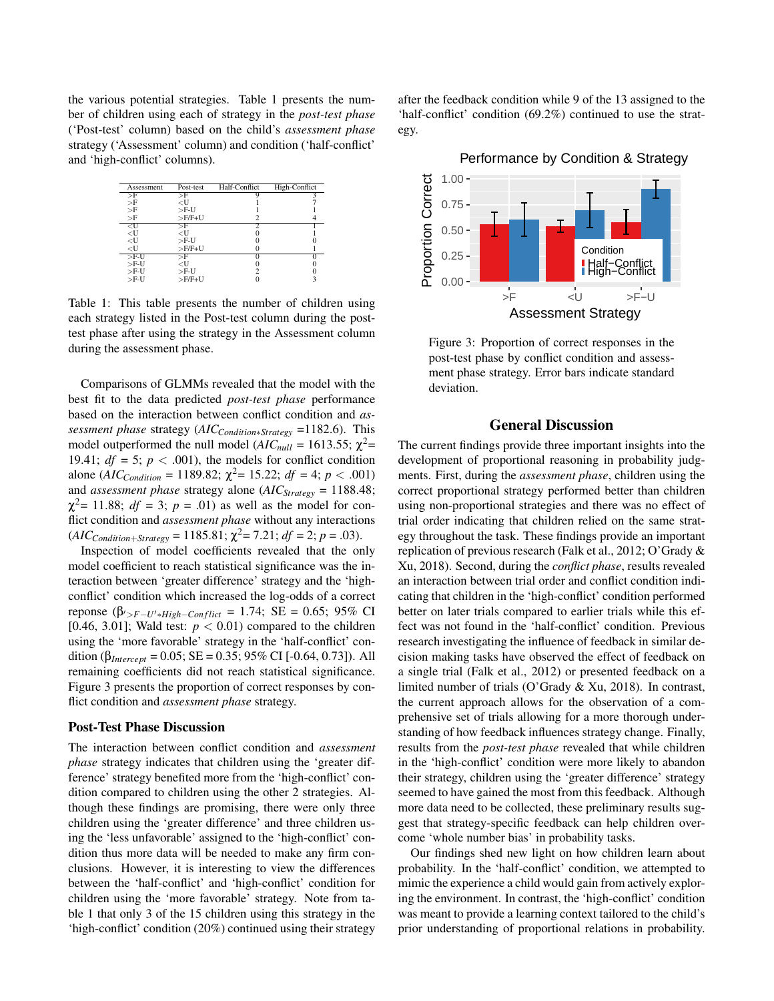the various potential strategies. Table 1 presents the number of children using each of strategy in the *post-test phase* ('Post-test' column) based on the child's *assessment phase* strategy ('Assessment' column) and condition ('half-conflict' and 'high-conflict' columns).



Table 1: This table presents the number of children using each strategy listed in the Post-test column during the posttest phase after using the strategy in the Assessment column during the assessment phase.

Comparisons of GLMMs revealed that the model with the best fit to the data predicted *post-test phase* performance based on the interaction between conflict condition and *assessment phase* strategy (*AICCondition*∗*Strategy* =1182.6). This model outperformed the null model ( $AIC_{null} = 1613.55$ ;  $\chi^2$ = 19.41;  $df = 5$ ;  $p < .001$ ), the models for conflict condition alone (*AIC*<sub>Condition</sub> = 1189.82;  $\chi^2$  = 15.22; *df* = 4; *p* < .001) and *assessment phase* strategy alone (*AICStrategy* = 1188.48;  $\chi^2$  = 11.88; *df* = 3; *p* = .01) as well as the model for conflict condition and *assessment phase* without any interactions  $(AIC_{Condition+Strategy} = 1185.81; \chi^2 = 7.21; df = 2; p = .03).$ 

Inspection of model coefficients revealed that the only model coefficient to reach statistical significance was the interaction between 'greater difference' strategy and the 'highconflict' condition which increased the log-odds of a correct reponse (β $\beta$ <sub>/>*F*−*U*<sup>+</sup>\**High*−*Conflict* = 1.74; SE = 0.65; 95% CI</sub> [0.46, 3.01]; Wald test:  $p < 0.01$ ) compared to the children using the 'more favorable' strategy in the 'half-conflict' condition ( $\beta_{Intercept} = 0.05$ ; SE = 0.35; 95% CI [-0.64, 0.73]). All remaining coefficients did not reach statistical significance. Figure 3 presents the proportion of correct responses by conflict condition and *assessment phase* strategy.

#### Post-Test Phase Discussion

The interaction between conflict condition and *assessment phase* strategy indicates that children using the 'greater difference' strategy benefited more from the 'high-conflict' condition compared to children using the other 2 strategies. Although these findings are promising, there were only three children using the 'greater difference' and three children using the 'less unfavorable' assigned to the 'high-conflict' condition thus more data will be needed to make any firm conclusions. However, it is interesting to view the differences between the 'half-conflict' and 'high-conflict' condition for children using the 'more favorable' strategy. Note from table 1 that only 3 of the 15 children using this strategy in the 'high-conflict' condition (20%) continued using their strategy after the feedback condition while 9 of the 13 assigned to the 'half-conflict' condition (69.2%) continued to use the strategy.





Figure 3: Proportion of correct responses in the post-test phase by conflict condition and assessment phase strategy. Error bars indicate standard deviation.

### General Discussion

The current findings provide three important insights into the development of proportional reasoning in probability judgments. First, during the *assessment phase*, children using the correct proportional strategy performed better than children using non-proportional strategies and there was no effect of trial order indicating that children relied on the same strategy throughout the task. These findings provide an important replication of previous research (Falk et al., 2012; O'Grady & Xu, 2018). Second, during the *conflict phase*, results revealed an interaction between trial order and conflict condition indicating that children in the 'high-conflict' condition performed better on later trials compared to earlier trials while this effect was not found in the 'half-conflict' condition. Previous research investigating the influence of feedback in similar decision making tasks have observed the effect of feedback on a single trial (Falk et al., 2012) or presented feedback on a limited number of trials (O'Grady & Xu, 2018). In contrast, the current approach allows for the observation of a comprehensive set of trials allowing for a more thorough understanding of how feedback influences strategy change. Finally, results from the *post-test phase* revealed that while children in the 'high-conflict' condition were more likely to abandon their strategy, children using the 'greater difference' strategy seemed to have gained the most from this feedback. Although more data need to be collected, these preliminary results suggest that strategy-specific feedback can help children overcome 'whole number bias' in probability tasks.

Our findings shed new light on how children learn about probability. In the 'half-conflict' condition, we attempted to mimic the experience a child would gain from actively exploring the environment. In contrast, the 'high-conflict' condition was meant to provide a learning context tailored to the child's prior understanding of proportional relations in probability.